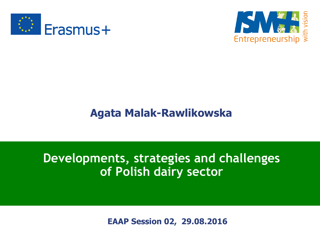



#### **Agata Malak-Rawlikowska**

#### **Developments, strategies and challenges of Polish dairy sector**

**EAAP Session 02, 29.08.2016**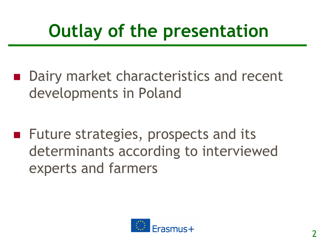# **Outlay of the presentation**

■ Dairy market characteristics and recent developments in Poland

**Future strategies, prospects and its** determinants according to interviewed experts and farmers

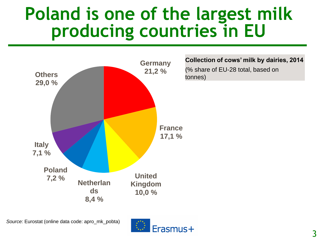## **Poland is one of the largest milk producing countries in EU**



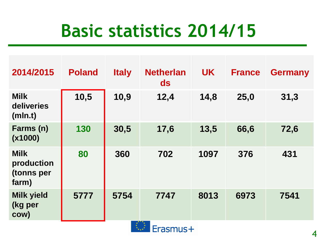# **Basic statistics 2014/15**

| 2014/2015                                        | <b>Poland</b> | <b>Italy</b> | <b>Netherlan</b><br>ds | <b>UK</b> | <b>France</b> | <b>Germany</b> |
|--------------------------------------------------|---------------|--------------|------------------------|-----------|---------------|----------------|
| <b>Milk</b><br>deliveries<br>(mIn.t)             | 10,5          | 10,9         | 12,4                   | 14,8      | 25,0          | 31,3           |
| Farms (n)<br>(x1000)                             | 130           | 30,5         | 17,6                   | 13,5      | 66,6          | 72,6           |
| <b>Milk</b><br>production<br>(tonns per<br>farm) | 80            | 360          | 702                    | 1097      | 376           | 431            |
| <b>Milk yield</b><br>(kg per<br>COW)             | 5777          | 5754         | 7747<br>"小水水火"。        | 8013      | 6973          | 7541           |

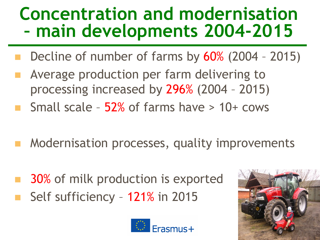## **Concentration and modernisation – main developments 2004-2015**

- Decline of number of farms by 60% (2004 2015)
- Average production per farm delivering to processing increased by 296% (2004 – 2015)
- Small scale 52% of farms have > 10+ cows
- Modernisation processes, quality improvements
- 30% of milk production is exported Self sufficiency – 121% in 2015



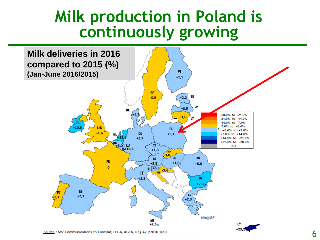### **Milk production in Poland is continuously growing**



Source: MS' Communications to Eurostat, FEGA, AGEA, Reg.479/2010.1(a)1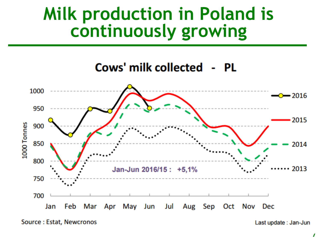### **Milk production in Poland is continuously growing**

#### Cows' milk collected - PL



Source: Estat, Newcronos

Last update: Jan-Jun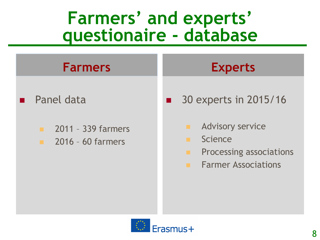## **Farmers' and experts' questionaire - database**

#### **Farmers**

- Panel data
	- 2011 339 farmers
	- **2016 60 farmers**

### **Experts**

- **30 experts in 2015/16** 
	- **Advisory service**
	- **E** Science
	- **Processing associations**
	- **Farmer Associations**

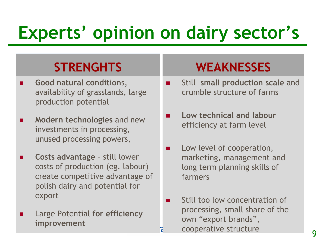# **Experts' opinion on dairy sector's**

### **STRENGHTS**

- **Good natural condition**s, availability of grasslands, large production potential
- **Modern technologies** and new investments in processing, unused processing powers,
- **Costs advantage**  still lower costs of production (eg. labour) create competitive advantage of polish dairy and potential for export
- Large Potential **for efficiency improvement**

### **WEAKNESSES**

- Still **small production scale** and crumble structure of farms
- **Low technical and labour**  efficiency at farm level
- **Low level of cooperation,** marketing, management and long term planning skills of farmers
- $\blacksquare$  Still too low concentration of processing, small share of the own "export brands", cooperative structure 9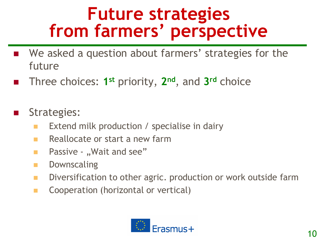## **Future strategies from farmers' perspective**

- We asked a question about farmers' strategies for the future
- Three choices: 1<sup>st</sup> priority, 2<sup>nd</sup>, and 3<sup>rd</sup> choice

#### **Strategies:**

- Extend milk production / specialise in dairy
- $\blacksquare$  Reallocate or start a new farm
- **Passive "Wait and see"**
- **Downscaling**
- **Diversification to other agric. production or work outside farm**
- **E** Cooperation (horizontal or vertical)

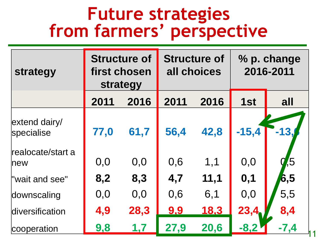### **Future strategies from farmers' perspective**

| strategy                    | <b>Structure of</b><br>first chosen<br>strategy |      | <b>Structure of</b><br>all choices |             | % p. change<br>2016-2011 |        |
|-----------------------------|-------------------------------------------------|------|------------------------------------|-------------|--------------------------|--------|
|                             | 2011                                            | 2016 | 2011                               | 2016        | 1st                      | all    |
| extend dairy/<br>specialise | 77,0                                            | 61,7 | 56,4                               | 42,8        | $-15,4$                  | $-131$ |
| realocate/start a<br>new    | 0,0                                             | 0,0  | 0,6                                | 1,1         | 0,0                      | ,5     |
| "wait and see"              | 8,2                                             | 8,3  | 4,7                                | 11,1        | 0,1                      | 6,5    |
| downscaling                 | 0,0                                             | 0,0  | 0,6                                | 6,1         | 0,0                      | 5,5    |
| diversification             | 4,9                                             | 28,3 | 9,9                                | <u>18,3</u> | 23,4                     | 8,4    |
| cooperation                 | 9,8                                             | 1,7  | 27,9                               | 20,6        | $-8,2$                   | $-7,4$ |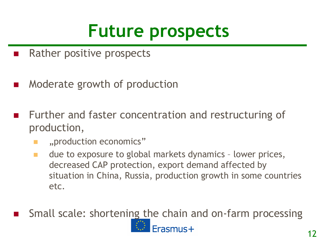# **Future prospects**

- **Rather positive prospects**
- Moderate growth of production
- Further and faster concentration and restructuring of production,
	- "production economics"
	- **due to exposure to global markets dynamics lower prices,** decreased CAP protection, export demand affected by situation in China, Russia, production growth in some countries etc.
- Small scale: shortening the chain and on-farm processing